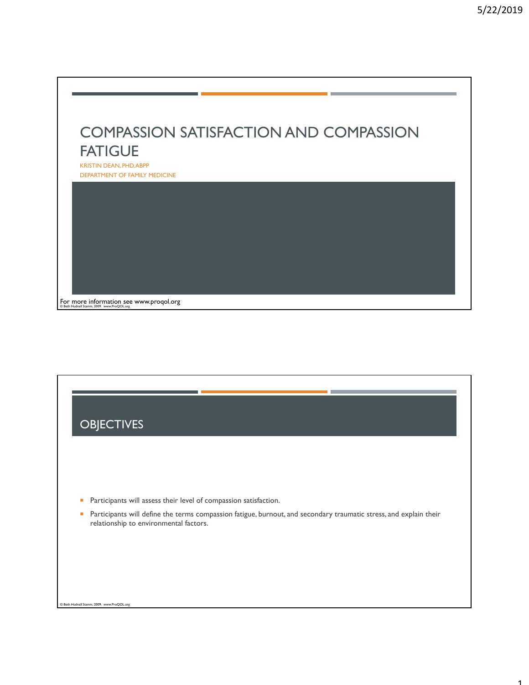1



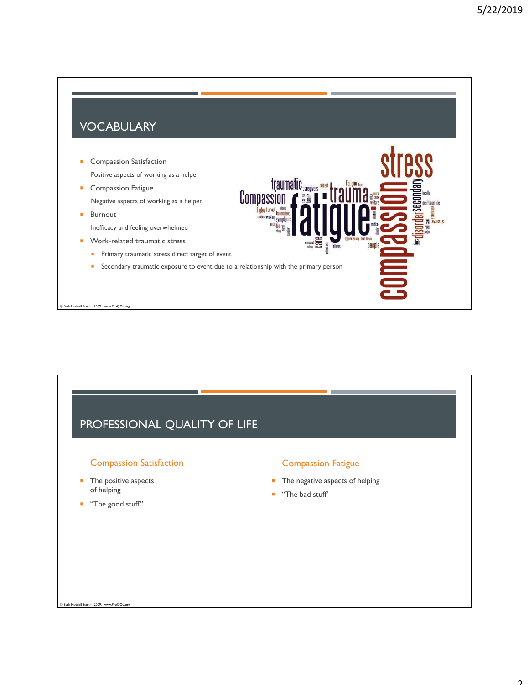990

### VOCABULARY

- **Compassion Satisfaction** Positive aspects of working as a helper
- **Compassion Fatigue** Negative aspects of working as a helper
- **Burnout**
- Inefficacy and feeling overwhelmed
- **Work-related traumatic stress** 
	- **Primary traumatic stress direct target of event**
	- **Secondary traumatic exposure to event due to a relationship with the primary person**

© Beth Hudnall Stamm, 2009. www.ProQOL.org

## PROFESSIONAL QUALITY OF LIFE

### Compassion Satisfaction

- **The positive aspects** of helping
- "The good stuff"

### Compassion Fatigue

- **The negative aspects of helping**
- "The bad stuff'

traumatic <sub>caregivers</sub> incident

п

Compassion

ices working symptoms  $\frac{1}{2}$  and  $\frac{1}{2}$ 

Fatigue the

people

**Beth Hudnall Stamm, 2009. www.ProQOL.**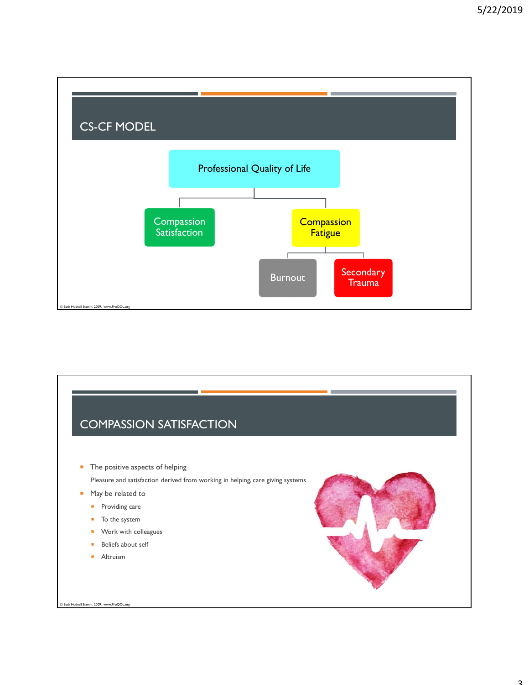

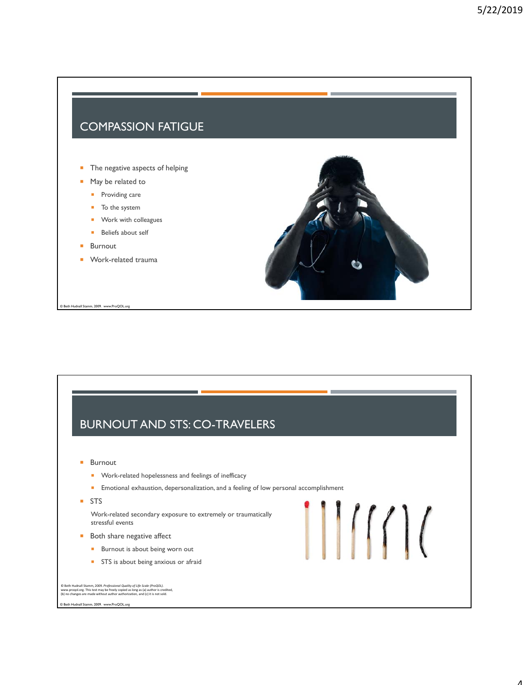### COMPASSION FATIGUE

- The negative aspects of helping
- **May be related to** 
	- **Providing care**
	- To the system
	- **Work with colleagues**
	- **Beliefs about self**
- **Burnout**

© Beth Hudnall Stamm, 2009. www.ProQOL.org

**Work-related trauma** 



111111

# BURNOUT AND STS: CO-TRAVELERS

- **Burnout** 
	- **Nork-related hopelessness and feelings of inefficacy**
	- **Emotional exhaustion, depersonalization, and a feeling of low personal accomplishment**
- STS

Work-related secondary exposure to extremely or traumatically stressful events

- **Both share negative affect** 
	- **Burnout is about being worn out**
	- STS is about being anxious or afraid

© Beth Hudnall Stamm, 2009. *Professional Quality of Life Scale (ProQOL).*<br>www.proqol.org. This test may be freely copied as long as (a) author is credited,<br>(b) no changes are made without author authorization, and (c) it

© Beth Hudnall Stamm, 2009. www.ProQOL.org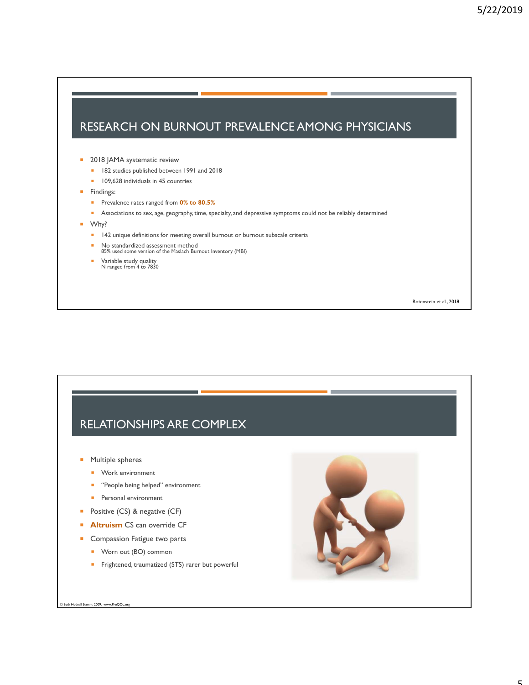### RESEARCH ON BURNOUT PREVALENCE AMONG PHYSICIANS

#### **2018 JAMA systematic review**

- **182** studies published between 1991 and 2018
- **109,628 individuals in 45 countries**
- **Findings:** 
	- **Prevalence rates ranged from 0% to 80.5%**
	- **Associations to sex, age, geography, time, specialty, and depressive symptoms could not be reliably determined**
- Why?
	- **142** unique definitions for meeting overall burnout or burnout subscale criteria
	- No standardized assessment method 85% used some version of the Maslach Burnout Inventory (MBI)
	-
	- Variable study quality N ranged from 4 to 7830

Rotenstein et al., 2018

### RELATIONSHIPS ARE COMPLEX

- **Multiple spheres** 
	- **Work environment**
	- **"** "People being helped" environment
	- **Personal environment**
- **Positive (CS) & negative (CF)**
- **Altruism CS can override CF**
- **Compassion Fatigue two parts** 
	- **Worn out (BO) common**
	- **Fightened, traumatized (STS) rarer but powerful**

© Beth Hudnall Stamm, 2009. www.ProQOL.org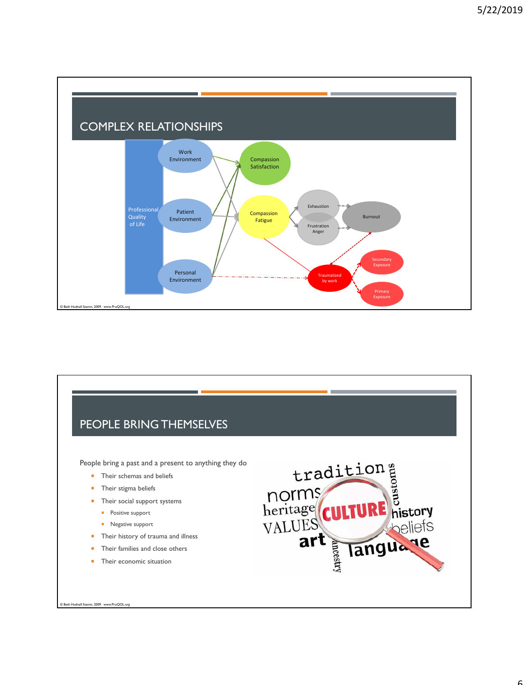



 $\epsilon$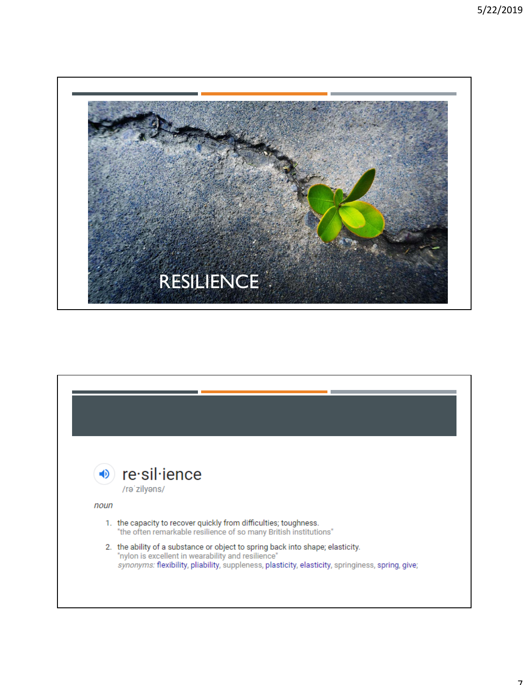